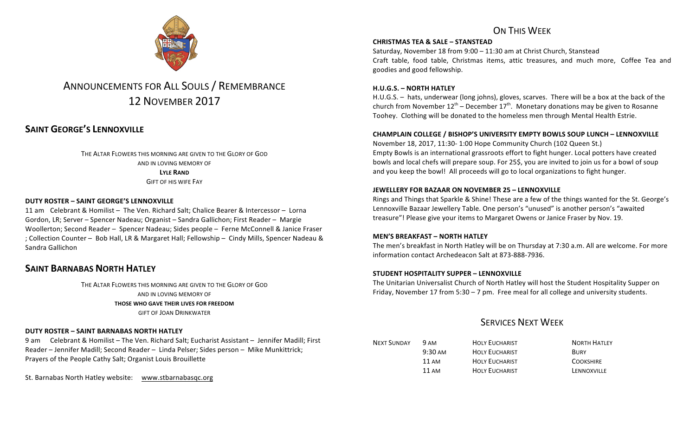

# ANNOUNCEMENTS FOR ALL SOULS / REMEMBRANCE 12 NOVEMBER 2017

## **SAINT GEORGE'S LENNOXVILLE**

THE ALTAR FLOWERS THIS MORNING ARE GIVEN TO THE GLORY OF GOD AND IN LOVING MEMORY OF **LYLE RAND GIFT OF HIS WIFF FAY** 

### **DUTY ROSTER – SAINT GEORGE'S LENNOXVILLE**

11 am Celebrant & Homilist - The Ven. Richard Salt; Chalice Bearer & Intercessor - Lorna Gordon, LR; Server – Spencer Nadeau; Organist – Sandra Gallichon; First Reader – Margie Woollerton; Second Reader - Spencer Nadeau; Sides people - Ferne McConnell & Janice Fraser ; Collection Counter - Bob Hall, LR & Margaret Hall; Fellowship - Cindy Mills, Spencer Nadeau & Sandra Gallichon

### **SAINT BARNABAS NORTH HATLEY**

THE ALTAR FLOWERS THIS MORNING ARE GIVEN TO THE GLORY OF GOD AND IN LOVING MEMORY OF **THOSE WHO GAVE THEIR LIVES FOR FREEDOM GIFT OF JOAN DRINKWATER** 

#### **DUTY ROSTER – SAINT BARNABAS NORTH HATLEY**

9 am Celebrant & Homilist – The Ven. Richard Salt; Eucharist Assistant – Jennifer Madill; First Reader – Jennifer Madill; Second Reader – Linda Pelser; Sides person – Mike Munkittrick; Prayers of the People Cathy Salt; Organist Louis Brouillette

St. Barnabas North Hatley website: www.stbarnabasqc.org

## ON THIS WFFK

#### **CHRISTMAS TEA & SALE – STANSTEAD**

Saturday, November 18 from  $9:00 - 11:30$  am at Christ Church, Stanstead Craft table, food table, Christmas items, attic treasures, and much more, Coffee Tea and goodies and good fellowship.

### **H.U.G.S. – NORTH HATLEY**

H.U.G.S.  $-$  hats, underwear (long johns), gloves, scarves. There will be a box at the back of the church from November  $12^{th}$  – December  $17^{th}$ . Monetary donations may be given to Rosanne Toohey. Clothing will be donated to the homeless men through Mental Health Estrie.

### **CHAMPLAIN COLLEGE / BISHOP'S UNIVERSITY EMPTY BOWLS SOUP LUNCH – LENNOXVILLE**

November 18, 2017, 11:30- 1:00 Hope Community Church (102 Queen St.) Empty Bowls is an international grassroots effort to fight hunger. Local potters have created bowls and local chefs will prepare soup. For 25\$, you are invited to join us for a bowl of soup and you keep the bowl! All proceeds will go to local organizations to fight hunger.

#### **JEWELLERY FOR BAZAAR ON NOVEMBER 25 - LENNOXVILLE**

Rings and Things that Sparkle & Shine! These are a few of the things wanted for the St. George's Lennoxville Bazaar Jewellery Table. One person's "unused" is another person's "awaited treasure"! Please give your items to Margaret Owens or Janice Fraser by Nov. 19.

#### **MEN'S BREAKFAST – NORTH HATLEY**

The men's breakfast in North Hatley will be on Thursday at 7:30 a.m. All are welcome. For more information contact Archedeacon Salt at 873-888-7936.

#### **STUDENT HOSPITALITY SUPPER - LENNOXVILLE**

The Unitarian Universalist Church of North Hatley will host the Student Hospitality Supper on Friday, November 17 from  $5:30 - 7$  pm. Free meal for all college and university students.

## **SERVICES NEXT WEEK**

| <b>NEXT SUNDAY</b> | 9 AM              | <b>HOLY EUCHARIST</b> | <b>NORTH HATLEY</b> |
|--------------------|-------------------|-----------------------|---------------------|
|                    | $9:30 \text{ AM}$ | <b>HOLY EUCHARIST</b> | <b>BURY</b>         |
|                    | 11 AM             | <b>HOLY EUCHARIST</b> | <b>COOKSHIRE</b>    |
|                    | 11 AM             | <b>HOLY EUCHARIST</b> | LENNOXVILLE         |